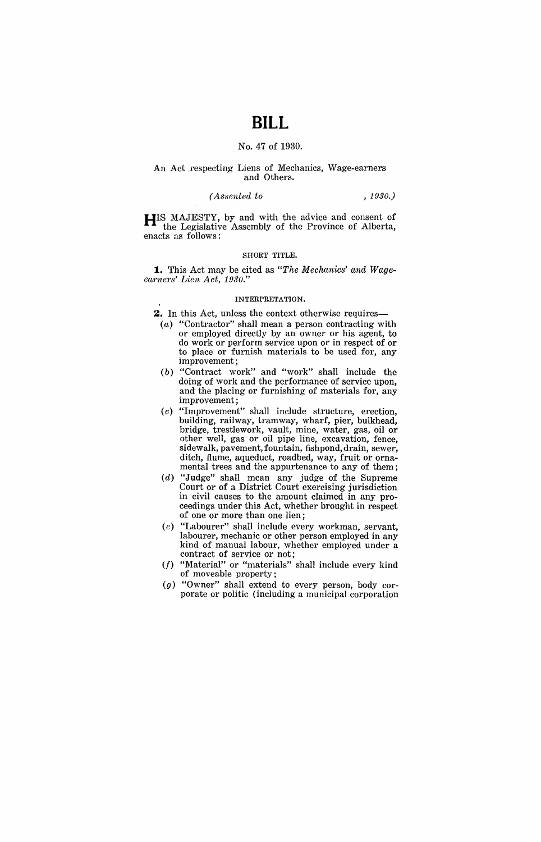# **BILL**

# No. 47 of 1930.

# An Act respecting Liens of Mechanics, Wage-earners and Others.

# *(A.ssented to , 1930.)*

**HIS** MAJESTY, by and with the advice and consent of the Legislative Assembly of the Province of Alberta, enacts as follows:

## SHORT TITLE.

**1.** This Act may be cited as *"The Mechanics' cmd Wageearners' Lien Act, 1930."* 

### INTERPRETATION.

- **2.** In this Act, unless the context otherwise requires-
	- (a) "Contractor" shall mean a person contracting with or employed directly by an owner or his agent, to do work or perform service upon or in respect of or to place or furnish materials to be used for, any improvement;
	- (b) "Contract work" and "work" shall include the doing of work and the performance of service upon, and the placing or furnishing of materials for, any improvement;
	- (c) "Improvement" shall include structure, erection, building, railway, tramway, wharf, pier, bulkhead, bridge, trestlework, vault, mine, water, gas, oil or other well, gas or oil pipe line, excavation, fence, sidewalk, pavement, fountain, fishpond, drain, sewer, ditch, flume, aqueduct, roadbed, way, fruit or ornamental trees and the appurtenance to any of them;
	- $(d)$  "Judge" shall mean any judge of the Supreme Court or of a District Court exercising jurisdiction in civil causes to the amount claimed in any proceedings under this Act, whether brought in respect of one or more than one lien;
	- (e) "Labourer" shall include every workman, servant, labourer, mechanic or other person employed in any kind of manual labour, whether employed under a contract of service or not;
	- (f) "Material" or "materials" shall include every kind of moveable property;
	- $(g)$  "Owner" shall extend to every person, body corporate or politic (including a municipal corporation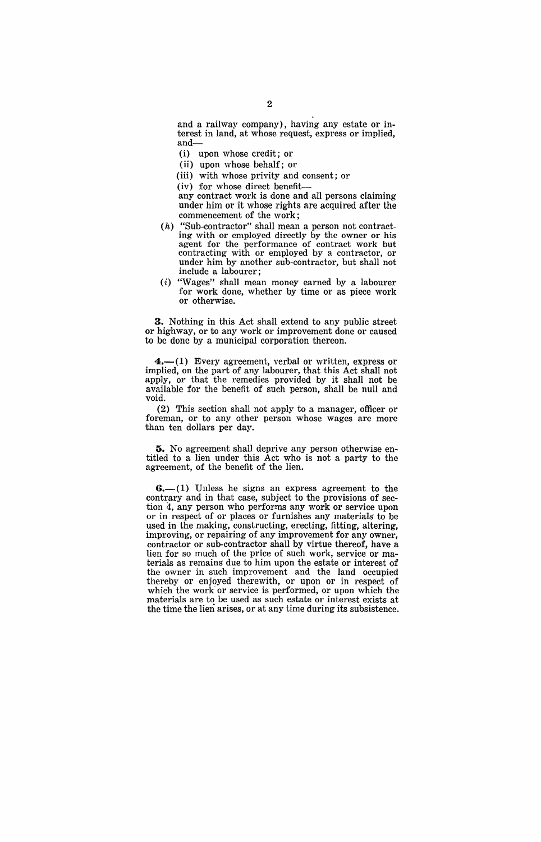and a railway company), having any estate or interest in land, at whose request, express or implied, and-

(i) upon whose credit; or

(ii) upon whose behalf; or

(iii) with whose privity and consent; or

(iv) for whose direct benefit-

any contract work is done and all persons claiming under him or it whose rights are acquired after the commencement of the work;

- (h) "Sub-contractor" shall mean a person not contracting with or employed directly by the owner or his agent for the performance of contract work but contracting with or employed by a contractor, or under him by another sub-contractor, but shall not include a labourer;
- (i) "Wages" shall mean money earned by a labourer for work done, whether by time or as piece work or otherwise.

**3.** Nothing in this Act shall extend to any public street or highway, or to any work or improvement done or caused to be done by a municipal corporation thereon.

 $4.$ —(1) Every agreement, verbal or written, express or implied, on the part of any labourer, that this Act shall not apply, or that the remedies provided by it shall not be available for the benefit of such person, shall be null and void.

(2) This section shall not apply to a manager, officer or foreman, or to any other person whose wages are more than ten dollars per day.

**5.** No agreement shall deprive any person otherwise entitled to a lien under this Act who is not a party to the agreement, of the benefit of the lien.

 $6-(1)$  Unless he signs an express agreement to the contrary and in that case, subject to the provisions of section 4, any person who performs any work or service upon or in respect of or places or furnishes any materials to be used in the making, constructing, erecting, fitting, altering, improving, or repairing of any improvement for any owner, contractor or sub-contractor shall by virtue thereof, have a lien for so much of the price of such work, service or materials as remains due to him upon the estate or interest of the owner in such improvement and the land occupied thereby or enjoyed therewith, or upon or in respect of which the work or service is performed, or upon which the materials are to be used as such estate or interest exists at the time the lien arises, or at any time during its subsistence.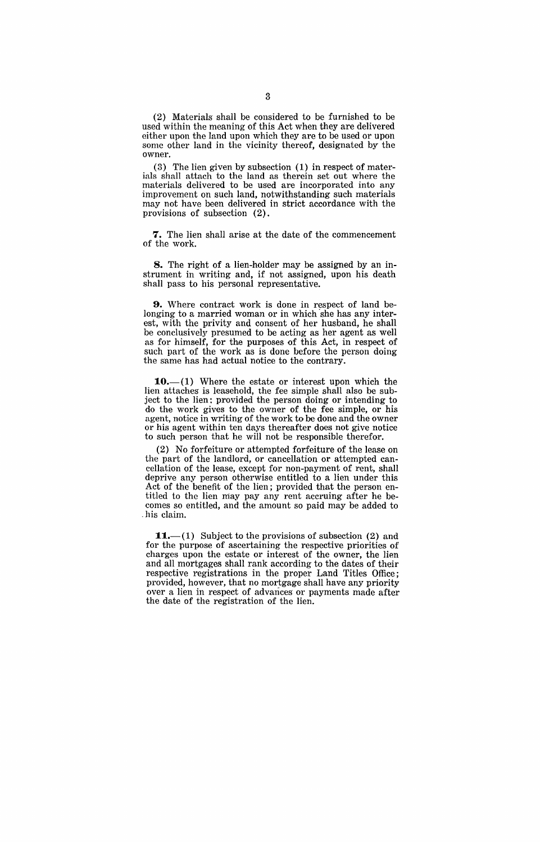(2) Materials shall be considered to be furnished to be used within the meaning of this Act when they are delivered either upon the land upon which they are to be used or upon some other land in the vicinity thereof, designated by the owner.

(3) The lien given by subsection (1) in respect of materials shall attach to the land as therein set out where the materials delivered to be used are incorporated into any improvement on such land, notwithstanding such materials may not have been delivered in strict accordance with the provisions of subsection (2).

**7.** The lien shall arise at the date of the commencement of the work.

**8.** The right of a lien-holder may be assigned by an instrument in writing and, if not assigned, upon his death shall pass to his personal representative.

**9.** Where contract work is done in respect of land belonging to a married woman or in which she has any interest, with the privity and consent of her husband, he shall be conclusively presumed to be acting as her agent as well as for himself, for the purposes of this Act, in respect of such part of the work as is done before the person doing the same has had actual notice to the contrary.

 $-$ (1) Where the estate or interest upon which the lien attaches is leasehold, the fee simple shall also be subject to the lien: provided the person doing or intending to do the work gives to the owner of the fee simple, or his agent, notice in writing of the work to be done and the owner or his agent within ten days thereafter does not give notice to such person that he will not be responsible therefor.

(2) No forfeiture or attempted forfeiture of the lease on the part of the landlord, or cancellation or attempted cancellation of the lease, except for non-payment of rent, shall deprive any person otherwise entitled to a lien under this Act of the benefit of the lien; provided that the person entitled to the lien may pay any rent accruing after he becomes so entitled, and the amount so paid may be added to . his claim.

**11.**—(1) Subject to the provisions of subsection  $(2)$  and for the purpose of ascertaining the respective priorities of charges upon the estate or interest of the owner, the lien and all mortgages shall rank according to the dates of their respective registrations in the proper Land Titles Office; provided, however, that no mortgage shall have any priority over a lien in respect of advances or payments made after the date of the registration of the lien.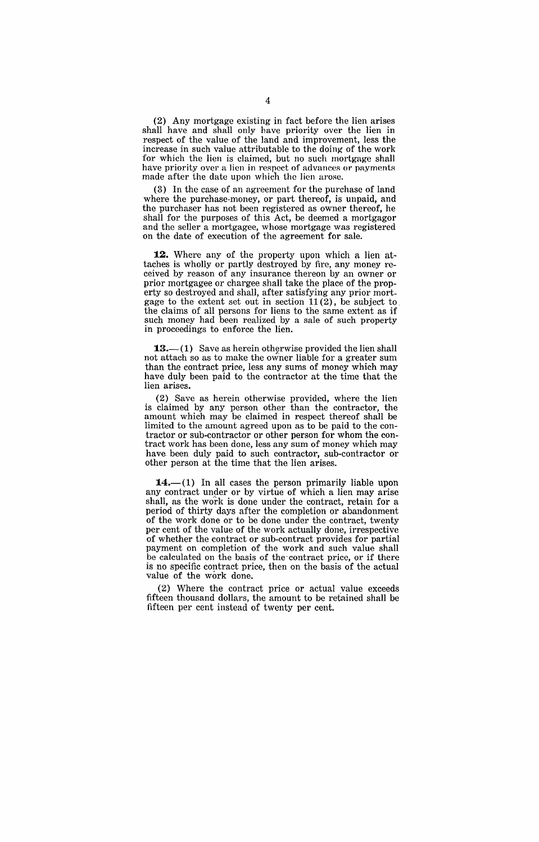(2) Any mortgage existing in fact before the lien arises shall have and shall only have priority over the lien in respect of the value of the land and improvement, less the increase in such value attributable to the doing" of the work for which the lien is claimed, but no such mortgage shall have priority over a lien in respect of advances or payments made after the date upon whieh the lien arose.

(3) In the case of an agreement for the purchase of land where the purchase-money, or part thereof, is unpaid, and the purchaser has not been registered as owner thereof, he shall for the purposes of this Act, be deemed a mortgagor and the seller a mortgagee, whose mortgage was registered on the date of execution of the agreement for sale.

**12.** Where any of the property upon which a lien attaches is wholly or partly destroyed by fire, any money received by reason of any insurance thereon by an owner or prior mortgagee or chargee shall take the place of the property so destroyed and shall, after satisfying any prior mortgage to the extent set out in section 11 (2), be subject to. the claims of all persons for liens to the same extent as if such money had been realized by a sale of such property in proceedings to enforce the lien.

 $13.-(1)$  Save as herein otherwise provided the lien shall not attach so as to make the owner liable for a greater sum than the contract price, less any sums of money which may have duly been paid to the contractor at the time that the lien arises.

(2) Save as herein otherwise provided, where the lien is claimed by any person other than the contractor, the amount which may be claimed in respect thereof shall be limited to the amount agreed upon as to be paid to the contractor or sub~contractor or other person for whom the contract work has been done, less any sum of money which may have been duly paid to such contractor, sub-contractor or other person at the time that the lien arises.

 $-(1)$  In all cases the person primarily liable upon any contract under or by virtue of which a lien may arise shall, as the work is done under the contract, retain for a period of thirty days after the completion or abandonment of the work done or to be done under the contract, twenty per cent of the value of the work actually done, irrespective of whether the contract or sub-contract provides for partial payment on completion of the work and such value shall be calculated on the basis of the contract price, or if there is no specific contract price, then on the basis of the actual value of the work done.

(2) Where the contract price or actual value exceeds fifteen thousand dollars, the amount to be retained shall be fifteen per cent instead of twenty per cent.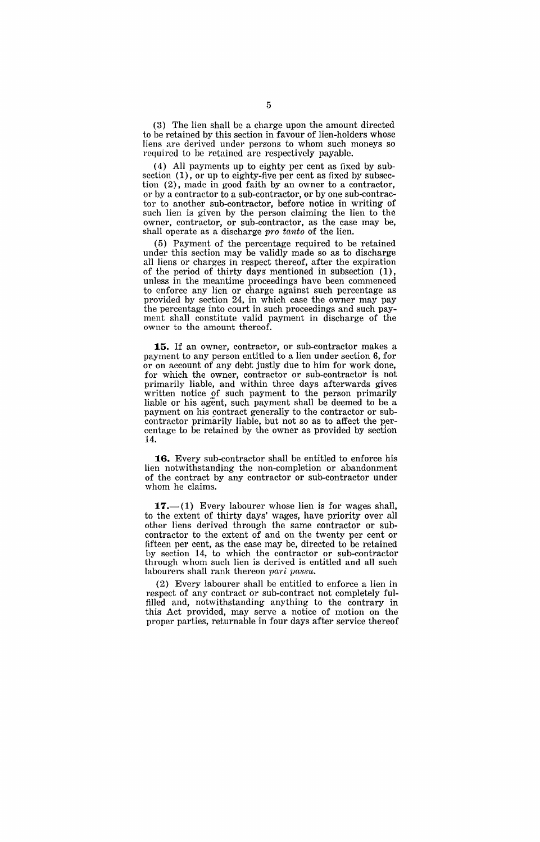(3) The lien shall be a charge upon the amount directed to be retained by this section in favour of lien-holders whose liens are derived under persons to whom such moneys so required to be retained are respectively payable.

( 4) All payments up to eighty per cent as fixed by subsection  $(1)$ , or up to eighty-five per cent as fixed by subsection (2), made in good faith by an owner to a contractor, or by a contractor to a sub-contractor, or by one sub-contractor to another sub-contractor, before notice in writing of such lien is given by the person claiming the lien to the owner, contractor, or sub-contractor, as the case may be, shall operate as a discharge pro tanto of the lien.

(5) Payment of the percentage required to be retained under this section may be validly made so as to discharge all liens or charges in respect thereof, after the expiration of the period of thirty days' mentioned in subsection (1), unless in the meantime proceedings have been commenced to enforce any lien or charge against such percentage as provided by section 24, in which case the owner may pay the percentage into court in such proceedings and such payment shall constitute valid payment in discharge of the owner to the amount thereof.

15. If an owner, contractor, or sub-contractor makes a payment to any person entitled to a lien under section 6, for or on account of any debt justly due to him for work done, for which the owner, contractor or sub-contractor is not primarily liable, and within three days afterwards gives written notice of such payment to the person primarily liable or his agent, such payment shall be deemed to be a payment on his contract generally to the contractor or subcontractor primarily liable, but not so as to affed the percentage to be retained by the owner as provided by section 14.

16. Every sub-contractor shall be entitled to enforce his lien notwithstanding the non-completion or abandonment of the contract by any contractor or sub-contractor under whom he claims.

 $17.$ -(1) Every labourer whose lien is for wages shall, to the extent of thirty days' wages, have priority over all other liens derived through the same contractor or subcontractor to the extent of and on the twenty per cent or fifteen per cent, as the case may be, directed to be retained by section 14, to which the contractor or sub-contractor through whom such lien is derived is entitled and all such labourers shall rank thereon pari passu.

(2) Every labourer shall be entitled to enforce a lien in respect of any contract or sub-contract not completely fulfilled and, notwithstanding anything to the contrary in this Act provided, may serve a notice of motion on the proper parties, returnable in four days after service thereof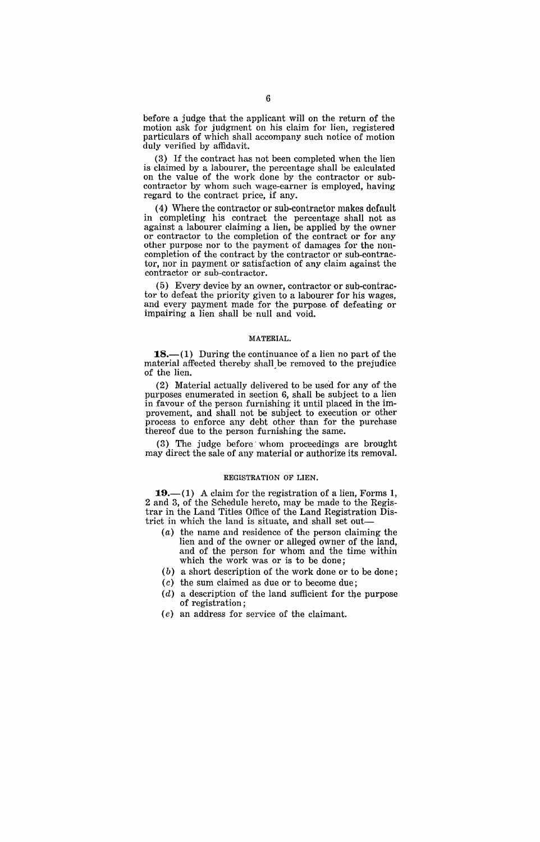before a judge that the applicant will on the return of the motion ask for judgment on his claim for lien, registered particulars of which shall accompany such notice of motion duly verified by affidavit.

(3) If the contract has not been completed when the lien is claimed by a labourer, the percentage shall be calculated on the value of the work done by the contractor or subcontractor by whom such wage-earner is employed, having regard to the contract price, if any.

4) Where the contractor or sub-contractor makes default in completing his contract the percentage shall not as against a labourer claiming a lien, be applied by the owner or contractor to the completion of the contract or for any other purpose nor to the payment of damages for the noncompletion of the contract by the contractor or sub-contractor, nor in payment or satisfaction of any claim against the contractor or sub-contractor.

(5) Every device by an owner, contractor or sub-contractor to defeat the priority given to a labourer for his wages, and every payment made for the purpose. of defeating or impairing a lien shall be null and void.

### MATERIAL.

**18.**—(1) During the continuance of a lien no part of the material affected thereby shall be removed to the prejudice of the lien.

 $(2)$  Material actually delivered to be used for any of the purposes enumerated in section 6, shall be subject to a lien in favour of the person furnishing it until placed in the improvement, and shall not be subject to execution or other process to enforce any debt other than for the purchase thereof due to the person furnishing the same.

3) The judge before whom proceedings are brought may direct the sale of any material or authorize its removal.

### REGISTRATION OF LIEN.

**19.**—(1) A claim for the registration of a lien, Forms 1, 2 and 3, of the Schedule hereto, may be made to the Registrar in the Land Titles Office of the Land Registration District in which the land is situate, and shall set out-

- (a) the name and residence of the person claiming the lien and of the owner or alleged owner of the land, and of the person for whom and the time within which the work was or is to be done;
- (b) a short description of the work done or to be done;
- (c) the sum claimed as due or to become due;
- $(d)$  a description of the land sufficient for the purpose of registration;
- (e) an address for service of the claimant.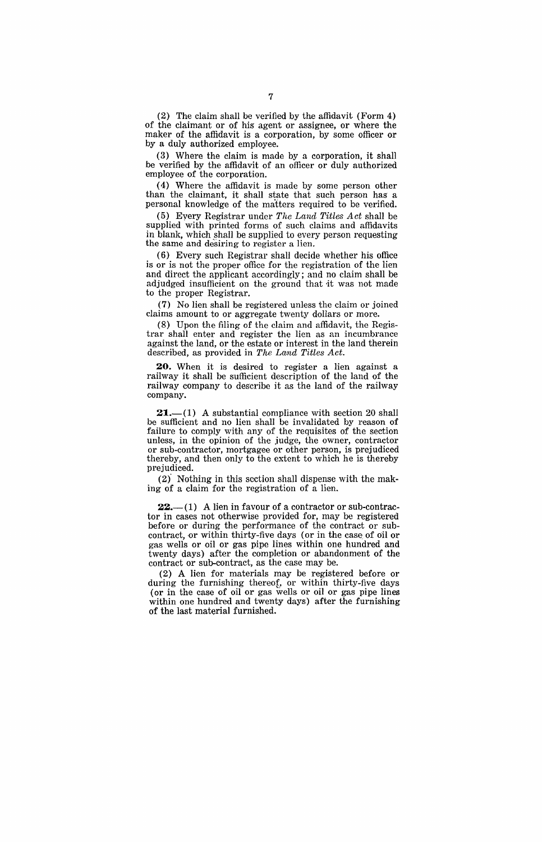(2) The claim shall be verified by the affidavit (Form 4) of the claimant or of his agent or assignee, or where the maker of the affidavit is a corporation, by some officer or by a duly authorized employee.

(3) Where the claim is made by a corporation, it shall be verified by the affidavit of an officer or duly authorized employee of the corporation.

(4) Where the affidavit is made by some person other than the claimant, it shall state that such person has a personal knowledge of the matters required to be verified.

(5) Eyery Registrar under *The Land Titles Act* shall be supplied with printed forms of such claims and affidavits in blank, which shall be supplied to every person requesting the same and desiring to register a lien.

(6) Every such Registrar shall decide whether his office is or is not the proper office for the registration of the lien and direct the applicant accordingly; and no claim shall be adjudged insufficient on the ground that it was not made to the proper Registrar.

(7) No lien shall be registered unless the claim or joined claims amount to or aggregate twenty dollars or more.

(8) Upon the filing of the claim and affidavit, the Registrar shall enter and register the lien as an incumbrance against the land, or the estate or interest in the land therein described, as provided in *The Land Titles Act.* 

**20.** When it is desired to register a lien against a railway it shall be sufficient description of the land of the railway company to describe it as the land of the railway company.

 $21-$ (1) A substantial compliance with section 20 shall be sufficient and no lien shall be invalidated by reason of failure to comply with any of the requisites of the section unless, in the opinion of the judge, the owner, contractor or sub-contractor, mortgagee or other person, is prejudiced thereby, and then only to the extent to which he is thereby prejudiced.

(2)' Nothing in this section shall dispense with the making of a claim for the registration of a lien.

**22.**—(1) A lien in favour of a contractor or sub-contractor in cases not otherwise provided for, may be registered before or during the performance of the contract or subcontract, or within thirty-five days (or in the case of oil or gas wells or oil or gas pipe lines within one hundred and twenty days) after the completion or abandonment of the contract or sub-contract, as the case may be.

(2) A lien for materials may be registered before or during the furnishing thereof, or within thirty-five days (or in the case of oil or gas wells or oil or gas pipe lines within one hundred and twenty days) after the furnishing of the last material furnished.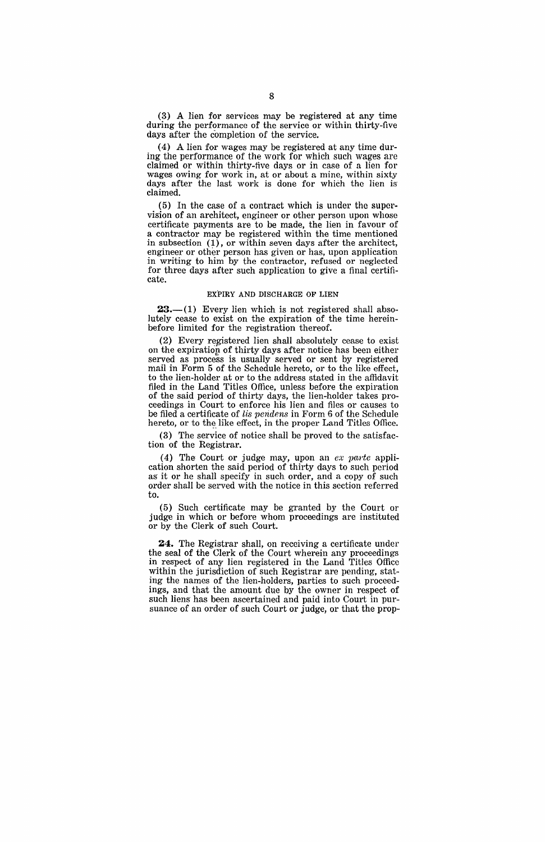(3) A lien for services may be registered at any time during the performance of the service or within thirty-five days after the completion of the service.

(4) A lien for wages may be registered at any time during the performance of the work for which such wages are claimed or within thirty-five days or in case of a lien for wages owing for work in, at or about a mine, within sixty days after the last work is done for which the lien is claimed.

(5) In the case of a contract which is under the supervision of an architect, engineer or other person upon whose certificate payments are to be made, the lien in favour of a contractor may be registered within the time mentioned in subsection (1), or within seven days after the architect, engineer or other person has given or has, upon application in writing to him by the contractor, refused or neglected for three days after such application to give a final certificate.

### EXPIRY AND DISCHARGE OF LIEN

 $23-$ (1) Every lien which is not registered shall absolutely cease to exist on the expiration of the time hereinbefore limited for the registration thereof.

(2) Every registered lien shall absolutely cease to exist on the expiration of thirty days after notice has been either served as process is usually served or sent by registered mail in Form 5 of the Schedule hereto, or to the like effect, to the lien-holder at or to the address stated in the affidavit filed in the Land Titles Office, unless before the expiration of the said period of thirty days, the lien-holder takes proceedings in Court to enforce his lien and files or causes to be filed a certificate of *lis pendens* in Form 6 of the Schedule hereto, or to the like effect, in the proper Land Titles Office.

(3) The service of notice shall be proved to the satisfaction of the Registrar.

(4) The Court or judge may, upon an  $ex$  parte application shorten the said period of thirty days to such period as it or he shall specify in such order, and a copy of such order shall be served with the notice in this section referred to.

(5) Such certificate may be granted by the Court or judge in which or before whom proceedings are instituted or by the Clerk of such Court.

**24.** The Registrar shall, on receiving a certificate under the seal of the Clerk of the Court wherein any proceedings in respect of any lien registered in the Land Titles Office within the jurisdiction of such Registrar are pending, stating the names of the lien-holders, parties to such proceedings, and that the amount due by the owner in respect of such liens has been ascertained and paid into Court in pursuance of an order of such Court or judge, or that the prop-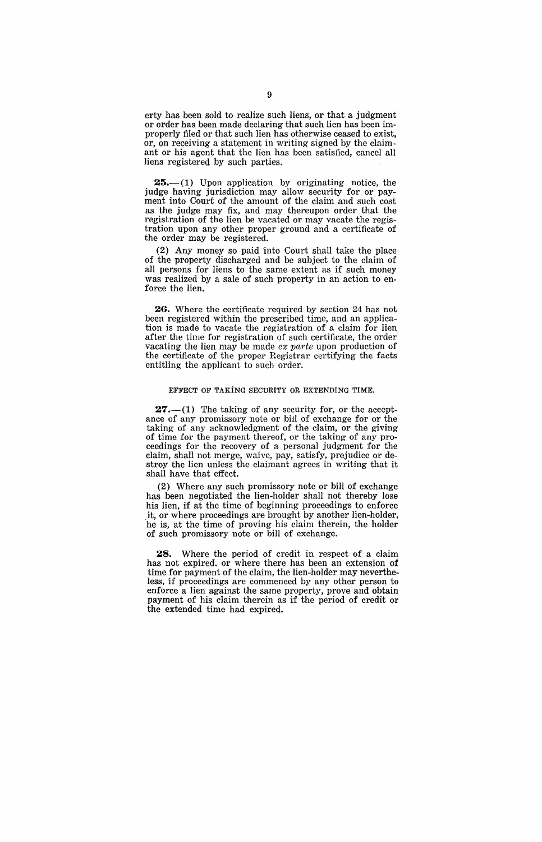erty has been sold to realize such liens, or that a judgment or order has been made declaring that such lien has been improperly filed or that such lien has otherwise ceased to exist, or, on receiving a statement in writing signed by the claimant or his agent that the lion has been satislicd, cancel all liens registered by such parties.

 $25- (1)$  Upon application by originating notice, the judge having jurisdiction may allow security for or payment into Court of the amount of the claim and such cost as the judge may fix, and may thereupon order that the registration of the lien be vacated or may vacate the registration upon any other proper ground and a certificate of the order may be registered.

(2) Any money so paid into Court shall take the place of the property discharged and be subject to the claim of all persons for liens to the same extent as if such money was realized by a sale of such property in an action to enforce the lien.

**26.** Where the certificate required by section 24 has not been registered within the prescribed time, and an application is made to vacate the registration of a claim for lien after the time for registration of such certificate, the order vacating the lien may be made  $ex$  parte upon production of the certificate of the proper Registrar certifying the facts' entitling the applicant to such order.

#### EFFECT OF TAKiNG SECURITY OR EXTENDING TIME.

 $27.-(1)$  The taking of any security for, or the acceptance of any promissory note or bill of exchange for or the taking of any acknowledgment of the claim, or the giving of time for the payment thereof, or the taking of any proceedings for the recovery of a personal judgment for the claim, shall not merge, waive, pay, satisfy, prejudice or destroy the lien unless the claimant agrees in writing that it shall have that effect.

(2) Where any such promissory note or bill of exchange has been negotiated the lien-holder shall not thereby lose his lien, if at the time of beginning proceedings to enforce it, or where proceedings are brought by another lien-holder, he is, at the time of proving his claim therein, the holder of such promissory note or bill of exchange.

28. Where the period of credit in respect of a claim has not expired. or where there has been an extension of time for payment of the claim, the lien-holder may nevertheless, if proceedings are commenced by any other person to enforce a lien against the same property, prove and obtain payment of his claim therein as if the period of credit or the extended time had expired.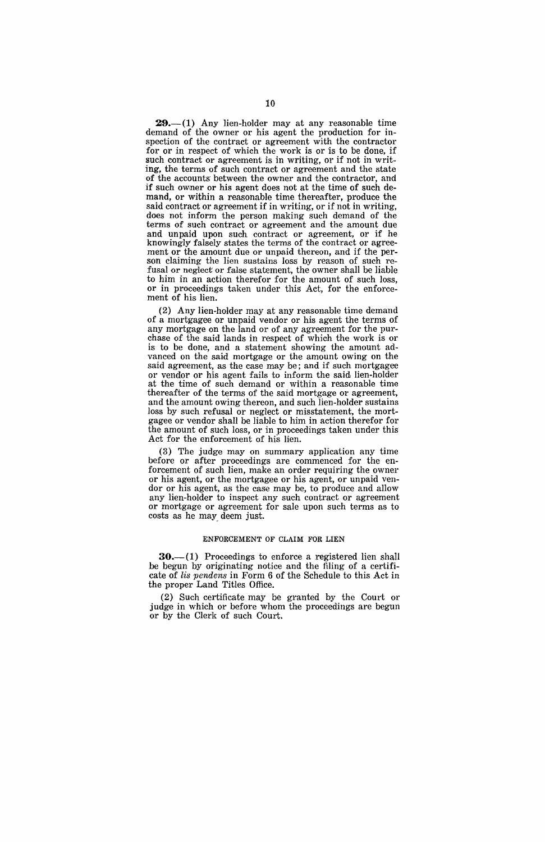$29.-(1)$  Any lien-holder may at any reasonable time demand of the owner or his agent the production for inspection of the contract or agreement with the contractor for or in respect of which the work is or is to be done, if such contract or agreement is in writing, or if not in writing, the terms of such contract or agreement and the state of the accounts' between the owner and the contractor, and if such owner or his agent does not at the time of such demand, or within a reasonable time thereafter, produce the said contract or agreement if in writing, or if not in writing, does not inform the person making such demand of the terms of such contract or agreement and the amount due and unpaid upon such contract or agreement, or if he knowingly falsely states the terms of the contract or agreement or the amount due or unpaid thereon, and if the person claiming the lien sustains loss by reason of such refusal or neglect or false statement, the owner shall be liable to him in an action therefor for the amount of such loss, or in proceedings taken under this Act, for the enforcement of his lien.

(2) Any lien-holder may at any reasonable time demand of a mortgagee or unpaid vendor or his agent the terms of any mortgage on the land or of any agreement for the purchase of the said lands in respect of which the work is or is to be done, and a statement showing the amount advanced on the said mortgage or the amount owing on the said agreement, as the case may be; and if such mortgagee or vendor or his agent fails to inform the said, lien-holder at the time of such demand or within a reasonable time thereafter of the terms of the said mortgage or agreement, and the amount owing thereon, and such lien-holder sustains loss by such refusal or neglect or misstatement, the mortgagee or vendor shall be liable to him in action therefor for the amount of such loss, or in proceedings taken under this Act for the enforcement of his lien.

(3) The judge may on summary application any time before or after proceedings are commenced for the enforcement of such lien, make an order requiring the owner or his agent, or the mortgagee or his agent, or unpaid vendor or his agent, as the case may be, to produce and allow any lien-holder to inspect any such contract or agreement or mortgage or agreement for sale upon such terms as to costs as he may. deem just.

### ENFORCEMENT OF CLAIM FOR LIEN

 $30-$ (1) Proceedings to enforce a registered lien shall be begun by originating notice and the filing of a certificate of *lis pendens* in Form 6 of the Schedule to this Act in the proper Land Titles Office.

(2) Such certificate may be granted by the Court or judge in which or before whom the proceedings are begun or by the Clerk of such Court.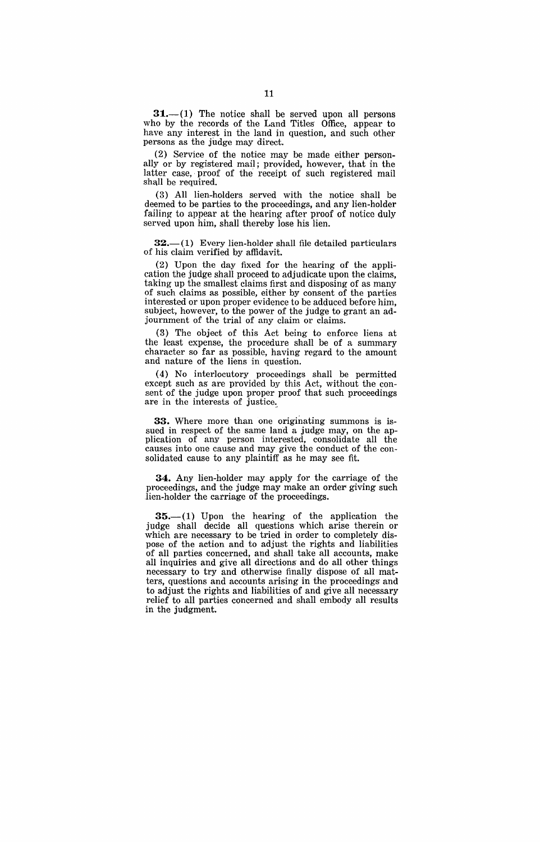$31.-(1)$  The notice shall be served upon all persons who by the records of the Land Titles Office, appear to have any interest in the land in question, and such other persons as the judge may direct.

(2) Service of the notice may be made either personally or by registered mail; provided, however, that in the latter case, proof of the receipt of such registered mail shall be required.

(3) All lien-holders served with the notice shall be deemed to be parties to the proceedings, and any lien-holder failing to appear at the hearing after proof of notice duly served upon him, shall thereby lose his lien.

 $32-(1)$  Every lien-holder shall file detailed particulars of his claim verified by affidavit.

(2) Upon the day fixed for the hearing of the application the judge shall proceed to adjudicate upon the claims, taking up the smallest claims first and disposing of as many of such claims as possible, either by consent of the parties interested or upon proper evidence to be adduced before him, subject, however, to the power of the judge to grant an adjournment of the trial of any claim or claims.

(3) The object of this Act being to enforce liens at the least expense, the procedure shall be of a summary character so far as possible, having regard to the amount and nature of the liens in question.

(4) No interlocutory proceedings shall be permitted except such as are provided by this Act, without the consent of the judge upon proper proof that such proceedings are in the interests of justice.

33. Where more than one originating summons is issued in respect of the same land a judge may, on the application of any person interested, consolidate all the causes into one cause and may give the conduct of the consolidated cause to any plaintiff as he may see fit.

34. Any lien-holder may apply for the carriage of the proceedings, and the judge may make an order giving such lien-holder the carriage of the proceedings.

 $35.$ - $(1)$  Upon the hearing of the application the judge shall decide all questions which arise therein or which are necessary to be tried in order to completely dispose of the action and to adjust the rights and liabilities of all parties concerned, and shall take all accounts, make all inquiries and give all directions and do all other things necessary to try and otherwise finally dispose of all matters, questions and accounts arising in the proceedings' and to adjust the rights and liabilities of and give all necessary relief to all parties concerned and shall embody all results in the judgment.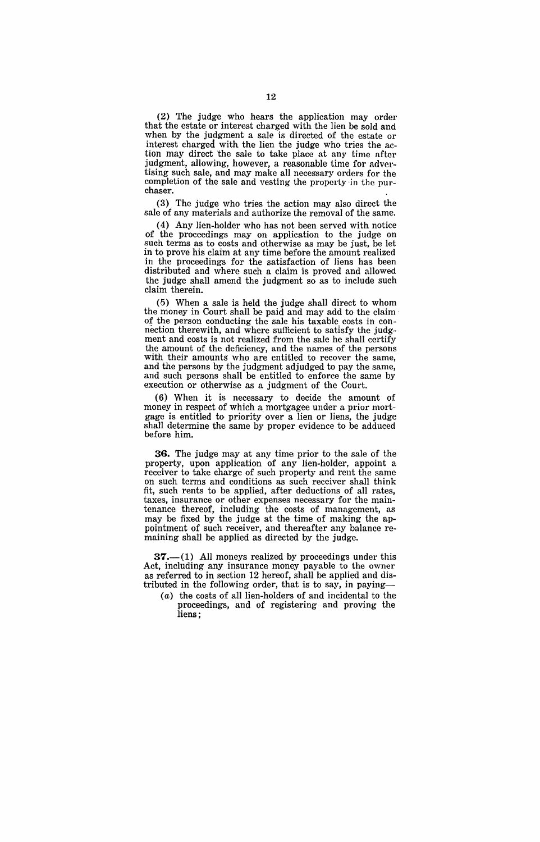(2) The judge who hears the application may order that the estate or interest charged with the lien be sold and when by the judgment a sale is directed of the estate or interest charged with the lien the judge who tries the action may direct the sale to take place at any time after judgment, allowing, however, a reasonable time for advertising such sale, and may make all necessary orders for the completion of the sale and vesting the property 'in the purchaser.

(3) The judge who tries the action may also direct the sale of any materials and authorize the removal of the same.

(4) Any lien-holder who has not been served with notice of the proceedings may on application to the judge on such terms as to costs and otherwise as may be just, be let in to prove his claim at any time before the amount realized in the proceedings for the satisfaction of liens has been distributed and where such a claim is proved and allowed the judge shall amend the judgment so as to include such claim therein.

 $(5)$  When a sale is held the judge shall direct to whom the money in Court shall be paid and may add to the claim' of the person conducting the sale his taxable costs in connection therewith, and where sufficient to satisfy the judgment and costs is not realized from the sale he shall certify the amount of the deficiency, and the names of the persons with their amounts who are entitled to recover the same, and the persons by the judgment adjudged to pay the same, and such persons shall be entitled to enforce the same by execution or otherwise as a judgment of the Court.

(6) When it is necessary to decide the amount of money in respect of which a mortgagee under a prior mortgage is entitled to priority over a lien or liens, the judge shall determine the same by proper evidence to be adduced before him.

**36.** The judge may at any time prior to the sale of the property, upon application of any lien-holder, appoint a receiver to take charge of such property and rent the same on such terms and conditions as such receiver shall think fit, such rents to be applied, after deductions of all rates, taxes, insurance or other expenses necessary for the maintenance thereof, including the costs of management, as may be fixed by the judge at the time of making the appointment of such receiver, and thereafter any balance remaining shall be applied as directed by the judge.

 $37.-(1)$  All moneys realized by proceedings under this Act, including any insurance money payable to the owner as referred to in section 12 hereof, shall be applied and distributed in the following order, that is to say, in paying-

(a) the costs of all lien-holders of and incidental to the proceedings, and of registering and proving the liens;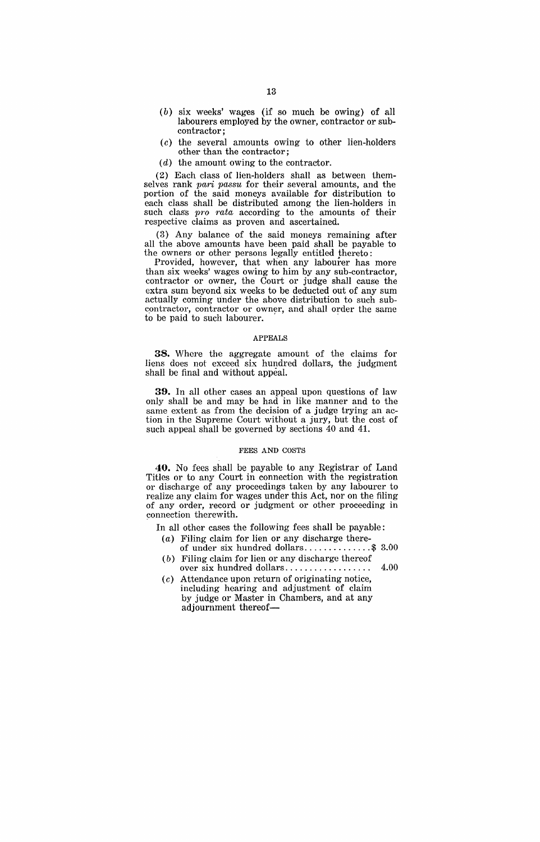- (b) six weeks' wages (if so much be owing) of all labourers employed by the owner, contractor or subcontractor;
- (c) the several amounts owing to other lien-holders other than the contractor;
- (d) the amount owing to the contractor.

(2) Each class of lien-holders shall as between themselves rank pari passu for their several amounts, and the portion of the said moneys available for distribution to each class shall be distributed among the lien-holders in such class pro rata according to the amounts of their respective claims as proven and ascertained.

(3) Any balance of the said moneys remaining after all the above amounts have been paid shall be payable to the owners or other persons legally entitled thereto:

Provided, however, that when any labourer has more than six weeks' wages owing to him by any sub-contractor, contractor or owner, the Court or judge shall cause the extra sum beyond six weeks to be deducted out of any sum actually coming under the above distribution to such subcontractor, contractor or owner, and shall order the same to be paid to such labourer.

### APPEALS

**38.** Where the aggregate amount of the claims for liens does not exceed six hundred dollars, the judgment shall be final and without appeal.

**39.** In all other cases an appeal upon questions of law only shall be and may be had in like manner and to the same extent as from the decision of a judge trying an action in the Supreme Court without a jury, but the cost of such appeal shall be governed by sections  $40$  and  $41$ .

### FEES AND COSTS

**40.** No fees shall be payable to any Registrar of Land Titles or to any Court in connection with the registration or discharge of any proceedings taken by any labourer to realize any claim for wages under this Act, nor on the filing of any order, record or judgment or other proceeding in connection therewith.

In all other cases the following fees shall be payable:

- $(a)$  Filing claim for lien or any discharge thereof under six hundred dollars .............. \$ 3.00
- (b) Filing claim for lien or any discharge thereof over six hundred dollars. . . . . . . . . . . . . . . . 4.00
- (c) Attendance upon return of originating notice, including hearing and adjustment of claim by judge or Master in Chambers, and at any adjournment thereof-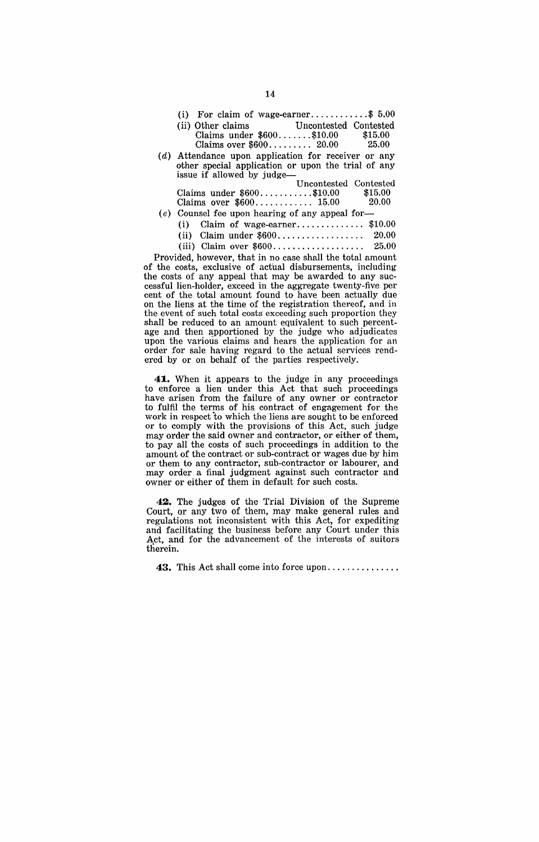| (i) For claim of wage-earner\$ $5.00$                                                                                                                                                                                                                                                                                                                                                                                                                      |       |  |  |
|------------------------------------------------------------------------------------------------------------------------------------------------------------------------------------------------------------------------------------------------------------------------------------------------------------------------------------------------------------------------------------------------------------------------------------------------------------|-------|--|--|
| (ii) Other claims Uncontested Contested                                                                                                                                                                                                                                                                                                                                                                                                                    |       |  |  |
| Claims under $$600$ \$10.00 \$15.00                                                                                                                                                                                                                                                                                                                                                                                                                        |       |  |  |
| Claims over $$600$ 20.00 25.00                                                                                                                                                                                                                                                                                                                                                                                                                             |       |  |  |
| $(d)$ Attendance upon application for receiver or any                                                                                                                                                                                                                                                                                                                                                                                                      |       |  |  |
| other special application or upon the trial of any                                                                                                                                                                                                                                                                                                                                                                                                         |       |  |  |
| issue if allowed by judge-                                                                                                                                                                                                                                                                                                                                                                                                                                 |       |  |  |
| Uncontested Contested                                                                                                                                                                                                                                                                                                                                                                                                                                      |       |  |  |
| Claims under $$600$ \$10.00 \$15.00                                                                                                                                                                                                                                                                                                                                                                                                                        |       |  |  |
| Claims over $$600$ 15.00                                                                                                                                                                                                                                                                                                                                                                                                                                   | 20.00 |  |  |
| $(e)$ Counsel fee upon hearing of any appeal for-                                                                                                                                                                                                                                                                                                                                                                                                          |       |  |  |
| (i) Claim of wage-earner\$10.00                                                                                                                                                                                                                                                                                                                                                                                                                            |       |  |  |
| $\mathcal{L}^{(1)}$ $\mathcal{L}^{(1)}$ $\mathcal{L}^{(2)}$ $\mathcal{L}^{(3)}$ $\mathcal{L}^{(4)}$ $\mathcal{L}^{(5)}$ $\mathcal{L}^{(6)}$ $\mathcal{L}^{(6)}$ $\mathcal{L}^{(6)}$<br>$\sim$ 0.000 $\sim$ 0.000 $\sim$ 0.000 $\sim$ 0.000 $\sim$ 0.000 $\sim$ 0.000 $\sim$ 0.000 $\sim$ 0.000 $\sim$ 0.000 $\sim$ 0.000 $\sim$ 0.000 $\sim$ 0.000 $\sim$ 0.000 $\sim$ 0.000 $\sim$ 0.000 $\sim$ 0.000 $\sim$ 0.000 $\sim$ 0.000 $\sim$ 0.000 $\sim$ 0.000 |       |  |  |

| (ii) Claim under $$600$ | -20.00 |
|-------------------------|--------|
| (iii) Claim over $$600$ | 25.00  |

Provided, however, that in no case shall the total amount of the costs, exclusive of actual disbursements, including the costs of any appeal that may be awarded to any successful lien-holder, exceed in the aggregate twenty-five per cent of the total amount found to have been actually due on the liens at the time of the registration thereof, and in the event of such total costs exceeding such proportion they shall be reduced to an amount equivalent to such percentage and then apportioned by the judge who adjudicates upon the various claims and hears the application for an order for sale having regard to the actual services rendered by or on behalf of the parties respectively.

**41..** When it appears to the judge in any proceedings to enforce a lien under this Act that such proceedings have arisen from the failure of any owner or contractor to fulfil the terms of his. contract of engagement for the work in respect to which the liens are sought to be enforced or to comply with the provisions of this Act, such judge may order the said owner and contractor, or either of them, to pay all the costs of such proceedings in addition to the amount of the contract or sub-contract or wages due by him or them to any contractor, sub-contractor or labourer, and may order a final judgment against such contractor and owner or either of them in default for such costs.

**42.** The judges of the Trial Division of the Supreme Court, or any two of them, may make general rules and regulations not inconsistent with this Act, for expediting and facilitating the business before any Court under this Act, and for the advancement of the interests of suitors therein.

**43.** This Act shall come into force upon ..............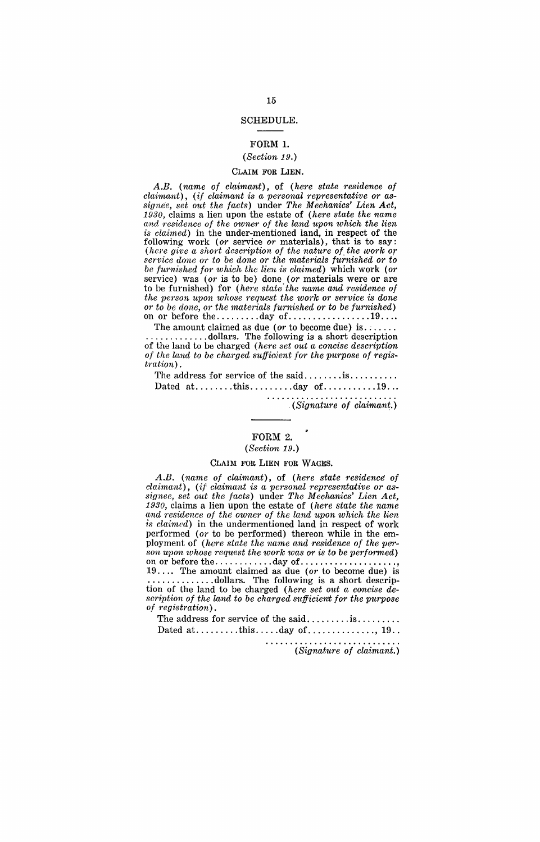### SCHEDULE.

## FORM 1.

# *(Section 19.)*

# CLAIM FOR LIEN.

*A.B. (name of claimant),* of *(here state residence of claimant), (if claimant is a personal representative or assigne'e, set out the facts)* under *The Mechanics' Lien Act, 1930,* claims a lien upon the estate of *(here state the name and residence of the owner of the land upon which the lien is claimed)* in the under-mentioned land, in respect of the following work (or service or materials), that is to say: *(here give a short description of the nature of the work or service done or to be done or the materials furnished or to be furnished for which the lien is claimed)* which work *(or*  service) was *(or* is to be) done *(or* materials were or are to be furnished) for *(here state the name and residence of the person upon whose request the work or service is done or to be done, or the 1naterials fU1'nished or to be furnished)*  on or before the  $\dots \dots \dots$  day of  $\dots \dots \dots \dots \dots 19 \dots$ 

The amount claimed as due (orr to become due) is. ; .... . . . . . . . . . . . . . . dollars. The following is a short description of the land to be charged *(here set out a concise description of the land to be charged suffioient for the purpose of registration) .* 

The address for service of the said ........ is ......... . Dated at. ....... this ......... day of ........... 19 ...

*"(Signature of claimant.)* 

# FORM 2.

# *(Section* 19.)

# CLAIM FOR LIEN FOR WAGES.

*A.B. (name of claimant),* of *(here state residence' of claimant*), (*if claimant is a personal representative or assignee, set out the facts)* under *The Mechanics' Lien Act, 1930,* claims a lien upon the estate of *(here state the name*  and residence of the owner of the land upon which the lien is *claimed*) in the undermentioned land in respect of work performed *(or* to be performed) thereon while in the employment of *(here state the name and residence of the person upon whose request the work was or is to be performed)* on or before the  $\dots \dots \dots \dots$  day of  $\dots \dots \dots \dots$ 19 .... The amount claimed as due *(or* to become due) is .............. dollars. The following is a short description of the land to be charged *(here set out a concise de* $scription of the land to be charged sufficient for the purpose$ *of registmtion).* 

The address for service of the said.......... is......... Dated at ......... this ..... day of .............. , 19 ..

*(Signature of claimant.)*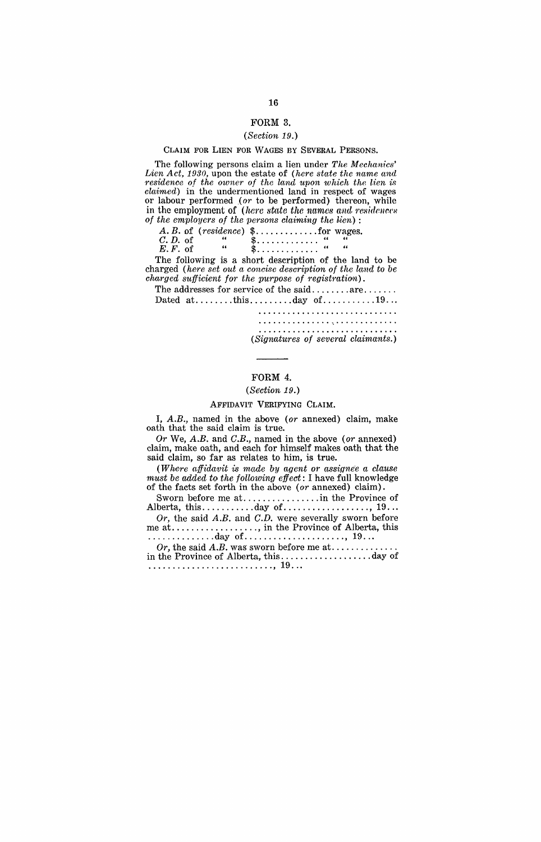### FORM 3.

# *(Section 19.)*

### CLAIM FOR LIEN FOR WAGES BY SEVERAL PERSONS.

The following persons claim a lien under *The Mechanics'*  Lien Act, 1930, upon the estate of *(here state the name and residenoe of the owner of the land upon which the lien* is *claimed)* in the undermentioned land in respect of wages or labour performed (or to be performed) thereon, while in the employment of (here state the names and residences *O'f the employers of the persons claiming the hien)* :

|           |    | <i>cive encreased by the persons examining the weight</i><br>A. B. of (residence) $\text{\$} \ldots \ldots \ldots \text{ for wages.}$ |  |
|-----------|----|---------------------------------------------------------------------------------------------------------------------------------------|--|
| C. D. of  | 66 | \$.                                                                                                                                   |  |
| $E.F.$ of | 66 | \$.                                                                                                                                   |  |

The following is a short description of the land to be charged (here set out a concise description of the land to be *charged sufficient for the purpose of registration*).

The addresses for service of the said........ are....... Dated  $at.\dots\dots.$  this  $\dots\dots.$  day of  $\dots\dots.$  19...

............................. .

*(Signatures of seveml claimants.)* 

### FORM 4.

### *(Se'ction 19.)*

### AFFIDAVIT VERIFYING CLAIM.

I, A.B., named in the above *(or* annexed) claim, make oath that the said claim is true.

*Or* We, *A.B.* and C.B., named in the above *(or* annexed) claim, make oath, and each for himself makes oath that the said claim, so far as relates to him, is true.

*(Where affidavit is made by agent or assignee a clause must be added to the following effect*: I have full knowledge of the facts set forth in the above *(or* annexed) claim).

Sworn before me at. ............... in the Province of Alberta, this ........... day of .................. , 19 .. .

*Or,* the said A.B. and C.D. were severally sworn before me at .................. , in the Province of Alberta, this .............. day of ..................... , 19 .. .

*Or,* the said *A.B.* was sworn before me at ............. . in the Province of Alberta, this ................... day of .......................... , 19 .. .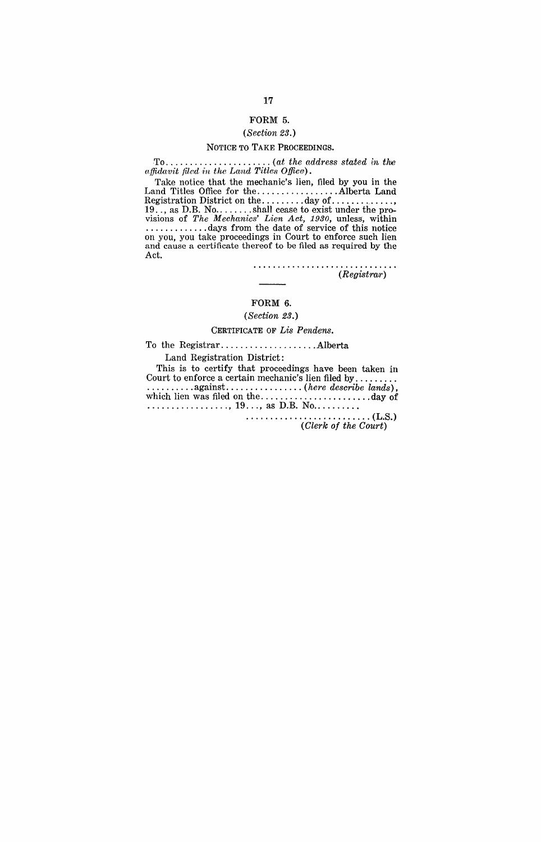# FORM 5.

# *(Section 23.)*

### NOTICE TO TARE PROCEEDINGS.

To ...................... *(at the address stated in the affidavit filed in the Land Titles Office*).

Take notice that the mechanic's lien, filed by you in the Land Titles Office for the ................. Alberta Land Registration District on the ......... day of .............• 19 .. , as D.B. No ........ shall cease to exist under the provisions of *The Mechanics' Lien Act, 1930*, unless, within ...............days from the date of service of this notice on you, you take proceedings in Court to enforce such lien and cause a certificate thereof to be filed as required by the Act.

> . . . . . . . . . . . . . . . . . . . . . . . . . . . . . *(Registrar)*

# FORM 6.

# *(Sect.ion 23.)*

### CERTIFICATE OF *Lis Pendens.*

To the Registrar .................... Alberta

Land Registration District:

This is to certify that proceedings have been taken in Court to enforce a certain mechanic's lien filed by......... Court to enforce a certain mechanic's lien filed by ........ . . . . . . . . . . . against ................ *(here describe lands),*  which lien was filed on the ....................... day of ................. , 19 ... , as D.B. No ......... .

••••••••••••••••• 0. 0000000 (LoS.) *(Clerk of the Court)*